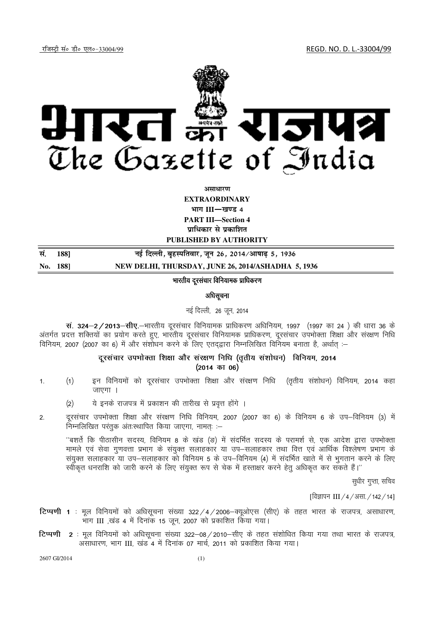jftLVªh laö Mhö ,yö&33004@99 REGD. NO. D. L.-33004/99



असाधार**ण** 

**EXTRAORDINARY**

**Hkkx III**—**[k.M 4**

**PART III—Section 4 पाधिकार से प्रकाशित** 

**PUBLISHED BY AUTHORITY** 

| सं. 188] | नई दिल्ली, बृहस्पतिवार, जून 26, 2014/आषाढ़ 5, 1936 |
|----------|----------------------------------------------------|
| No. 188  | NEW DELHI, THURSDAY, JUNE 26, 2014/ASHADHA 5, 1936 |

# भारतीय दूरसंचार विनियामक प्राधिकरण

#### अधिसूचना

#### नई दिल्ली, 26 जून, 2014

स. 324-2/2013-सीए.-भारतीय दूरसंचार विनियामक प्राधिकरण अधिनियम, 1997 (1997 का 24) की धारा 36 के अंतर्गत प्रदत्त शक्तियों का प्रयोग करते हुए, भारतीय दूरसंचार विनियामक प्राधिकरण, दूरसंचार उपभोक्ता शिक्षा और संरक्षण निधि faनियम, 2007 (2007 का 6) में और संशोधन करने के लिए एतदद्वारा निम्नलिखित विनियम बनाता है, अर्थात :-

# दरसंचार उपभोक्ता शिक्षा और संरक्षण निधि (ततीय संशोधन) विनियम. 2014  $(2014$  का 06)

- 1. (1) हन विनियमों को दूरसंचार उपभोक्ता शिक्षा और संरक्षण निधि (तृतीय संशोधन) विनियम, 2014 कहा  $\overline{u}$ णा $\overline{u}$ ।
	- (2) ये इनके राजपत्र में प्रकाशन की तारीख से प्रवृत्त होंगे ।
- 2- nwjl apkj miHkksDrk f'k{kk vk Sj l aj{k.k fuf/k fofu;e] 2007 ¼2007 dk 6½ ds fofu;e 6 d s mi&fofu;e ¼3½ esa निम्नलिखित परंतुक अंतः स्थापित किया जाएगा, नामतः :-

''बशर्ते कि पीठासीन सदस्य, विनियम 8 के खंड (ङ) में संदर्भित सदस्य के परामर्श से, एक आदेश द्वारा उपभोक्ता मामले एवं सेवा गुणवत्ता प्रभाग के संयुक्त सलाहकार या उप—सलाहकार तथा वित्त एवं आर्थिक विश्लेषण प्रभाग के संयक्त सलाहकार या उप–सलाहकार को विनियम 5 के उप–विनियम (4) में सदर्भित खाते में से भगतान करने के लिए रवीकृत धनराशि को जारी करने के लिए संयुक्त रूप से चेक में हस्ताक्षर करने हेतू अधिकृत कर सकते हैं।''

सुधीर गुप्ता, सचिव

 $\left[$ विज्ञापन  $\left[$  III /4/असा /142/14]

- **टिप्पणी 1** : मूल विनियमों को अधिसूचना संख्या 322 /4 / 2006–क्यूओएस (सीए) के तहत भारत के राजपत्र, असाधारण, भाग III ,खंड 4 में दिनांक 15 जून, 2007 को प्रकाशित किया गया।
- **टिप्पणी 2** : मूल विनियमों को अधिसूचना संख्या 322–08/2010–सीए के तहत संशोधित किया गया तथा भारत के राजपत्र, असाधारण, भाग III, खंड 4 में दिनांक 07 मार्च, 2011 को प्रकाशित किया गया।

2607 GI/2014 (1)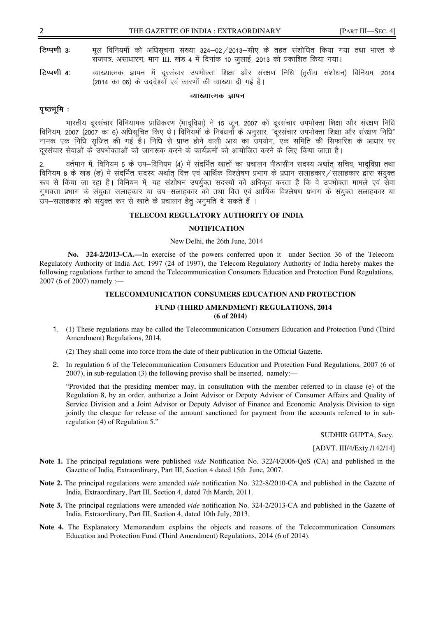टिप्पणी 3: मूल विनियमों को अधिसूचना संख्या 324–02/2013–सीए के तहत संशोधित किया गया तथा भारत के राजपत्र, असाधारण, भाग III, खंड 4 में दिनांक 10 जुलाई, 2013 को प्रकाशित किया गया।

टिप्पणी 4: व्याख्यात्मक ज्ञापन में दूरसंचार उपभोक्ता शिक्षा और संरक्षण निधि (तृतीय संशोधन) विनियम, 2014 (2014 का 06) के उद्देश्यों एवं कारणों की व्याख्या दी गई है।

## व्याख्यात्मक ज्ञापन

# पष्ठभमि:

भारतीय दूरसंचार विनियामक प्राधिकरण (भादूविप्रा) ने 15 जून, 2007 को दूरसंचार उपभोक्ता शिक्षा और संरक्षण निधि विनियम, 2007 (2007 का 6) अधिसूचित किए थे। विनियमों के निबंधनों के अनुसार, "दुरसंचार उपभोक्ता शिक्षा और संरक्षण निधि" नामक एक निधि सुजित की गई है। निधि से प्राप्त होने वाली आय का उपयोग, एक समिति की सिफारिश के आधार पर दरसंचार सेवाओं के उपभोक्ताओं को जागरूक करने के कार्यक्रमों को आयोजित करने के लिए किया जाता है।

वर्तमान में, विनियम 5 के उप–विनियम (4) में संदर्भित खातों का प्रचालन पीठासीन सदस्य अर्थात् सचिव, भादुविप्रा तथा  $\overline{2}$ . विनियम 8 के खंड (ड) में संदर्भित सदस्य अर्थात वित्त एवं आर्थिक विश्लेषण प्रभाग के प्रधान सलाहकार/सलाहकार द्वारा संयुक्त रूप से किया जा रहा है। विनियम में, यह संशोधन उपर्युक्त सदस्यों को अधिकृत करता है कि वे उपभोक्ता मामले एवं सेवा गुणवत्ता प्रभाग के संयुक्त सलाहकार या उप–सलाहकार को तथा वित्त एवं आर्थिक विश्लेषण प्रभाग के संयुक्त सलाहकार या उप-सलाहकार को संयुक्त रूप से खाते के प्रचालन हेतू अनुमति दे सकते हैं ।

## TELECOM REGULATORY AUTHORITY OF INDIA

#### **NOTIFICATION**

### New Delhi, the 26th June, 2014

No. 324-2/2013-CA.—In exercise of the powers conferred upon it under Section 36 of the Telecom Regulatory Authority of India Act, 1997 (24 of 1997), the Telecom Regulatory Authority of India hereby makes the following regulations further to amend the Telecommunication Consumers Education and Protection Fund Regulations, 2007 (6 of 2007) namely :-

#### TELECOMMUNICATION CONSUMERS EDUCATION AND PROTECTION

### FUND (THIRD AMENDMENT) REGULATIONS, 2014  $(6$  of 2014)

1. (1) These regulations may be called the Telecommunication Consumers Education and Protection Fund (Third Amendment) Regulations, 2014.

(2) They shall come into force from the date of their publication in the Official Gazette.

2. In regulation 6 of the Telecommunication Consumers Education and Protection Fund Regulations, 2007 (6 of 2007), in sub-regulation (3) the following proviso shall be inserted, namely:—

"Provided that the presiding member may, in consultation with the member referred to in clause (e) of the Regulation 8, by an order, authorize a Joint Advisor or Deputy Advisor of Consumer Affairs and Quality of Service Division and a Joint Advisor or Deputy Advisor of Finance and Economic Analysis Division to sign jointly the cheque for release of the amount sanctioned for payment from the accounts referred to in subregulation (4) of Regulation 5."

SUDHIR GUPTA, Secy.

[ADVT. III/4/Exty./142/14]

- Note 1. The principal regulations were published *vide* Notification No. 322/4/2006-QoS (CA) and published in the Gazette of India, Extraordinary, Part III, Section 4 dated 15th June, 2007.
- Note 2. The principal regulations were amended *vide* notification No. 322-8/2010-CA and published in the Gazette of India, Extraordinary, Part III, Section 4, dated 7th March, 2011.
- Note 3. The principal regulations were amended *vide* notification No. 324-2/2013-CA and published in the Gazette of India, Extraordinary, Part III, Section 4, dated 10th July, 2013.
- Note 4. The Explanatory Memorandum explains the objects and reasons of the Telecommunication Consumers Education and Protection Fund (Third Amendment) Regulations, 2014 (6 of 2014).